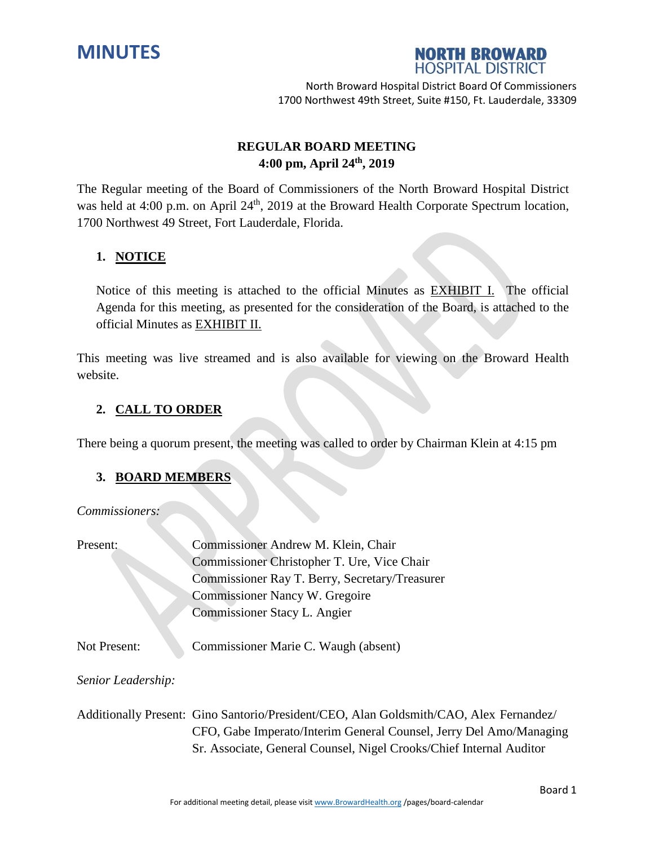



# **REGULAR BOARD MEETING 4:00 pm, April 24 th , 2019**

The Regular meeting of the Board of Commissioners of the North Broward Hospital District was held at 4:00 p.m. on April 24<sup>th</sup>, 2019 at the Broward Health Corporate Spectrum location, 1700 Northwest 49 Street, Fort Lauderdale, Florida.

## **1. NOTICE**

Notice of this meeting is attached to the official Minutes as EXHIBIT I. The official Agenda for this meeting, as presented for the consideration of the Board, is attached to the official Minutes as EXHIBIT II.

This meeting was live streamed and is also available for viewing on the Broward Health website.

## **2. CALL TO ORDER**

There being a quorum present, the meeting was called to order by Chairman Klein at 4:15 pm

#### **3. BOARD MEMBERS**

*Commissioners:*

| Present:            | Commissioner Andrew M. Klein, Chair                                                    |
|---------------------|----------------------------------------------------------------------------------------|
|                     | Commissioner Christopher T. Ure, Vice Chair                                            |
|                     | Commissioner Ray T. Berry, Secretary/Treasurer                                         |
|                     | Commissioner Nancy W. Gregoire                                                         |
|                     | Commissioner Stacy L. Angier                                                           |
| <b>Not Present:</b> | Commissioner Marie C. Waugh (absent)                                                   |
| Senior Leadership:  |                                                                                        |
|                     | Additionally Present: Gino Santorio/President/CEO, Alan Goldsmith/CAO, Alex Fernandez/ |
|                     | CFO, Gabe Imperato/Interim General Counsel, Jerry Del Amo/Managing                     |
|                     | Sr. Associate, General Counsel, Nigel Crooks/Chief Internal Auditor                    |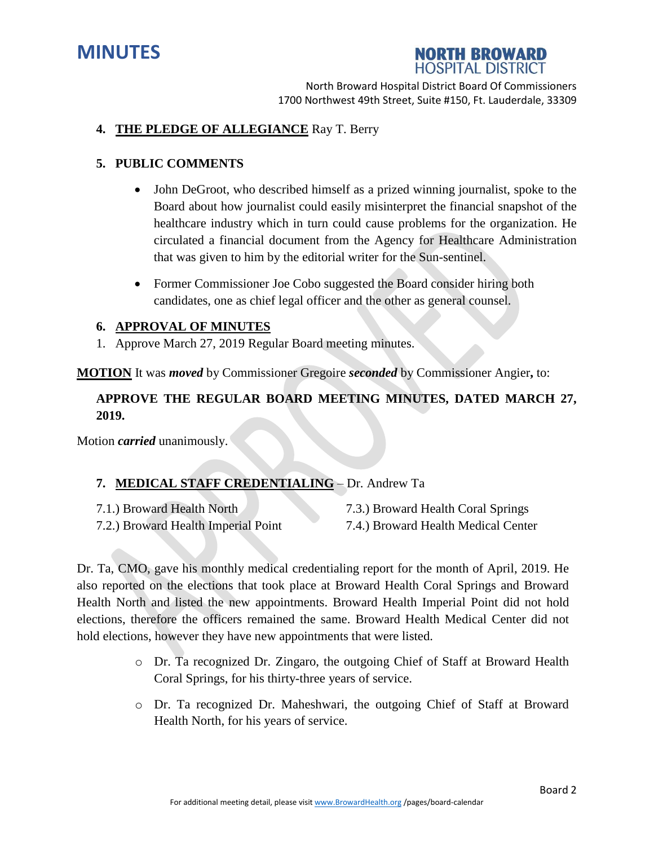



#### **4. THE PLEDGE OF ALLEGIANCE** Ray T. Berry

#### **5. PUBLIC COMMENTS**

- John DeGroot, who described himself as a prized winning journalist, spoke to the Board about how journalist could easily misinterpret the financial snapshot of the healthcare industry which in turn could cause problems for the organization. He circulated a financial document from the Agency for Healthcare Administration that was given to him by the editorial writer for the Sun-sentinel.
- Former Commissioner Joe Cobo suggested the Board consider hiring both candidates, one as chief legal officer and the other as general counsel.

#### **6. APPROVAL OF MINUTES**

1. Approve March 27, 2019 Regular Board meeting minutes.

**MOTION** It was *moved* by Commissioner Gregoire *seconded* by Commissioner Angier**,** to:

# **APPROVE THE REGULAR BOARD MEETING MINUTES, DATED MARCH 27, 2019.**

Motion *carried* unanimously.

#### **7. MEDICAL STAFF CREDENTIALING** – Dr. Andrew Ta

- 
- 7.2.) Broward Health Imperial Point 7.4.) Broward Health Medical Center
- 7.1.) Broward Health North 7.3.) Broward Health Coral Springs
	-

Dr. Ta, CMO, gave his monthly medical credentialing report for the month of April, 2019. He also reported on the elections that took place at Broward Health Coral Springs and Broward Health North and listed the new appointments. Broward Health Imperial Point did not hold elections, therefore the officers remained the same. Broward Health Medical Center did not hold elections, however they have new appointments that were listed.

- o Dr. Ta recognized Dr. Zingaro, the outgoing Chief of Staff at Broward Health Coral Springs, for his thirty-three years of service.
- o Dr. Ta recognized Dr. Maheshwari, the outgoing Chief of Staff at Broward Health North, for his years of service.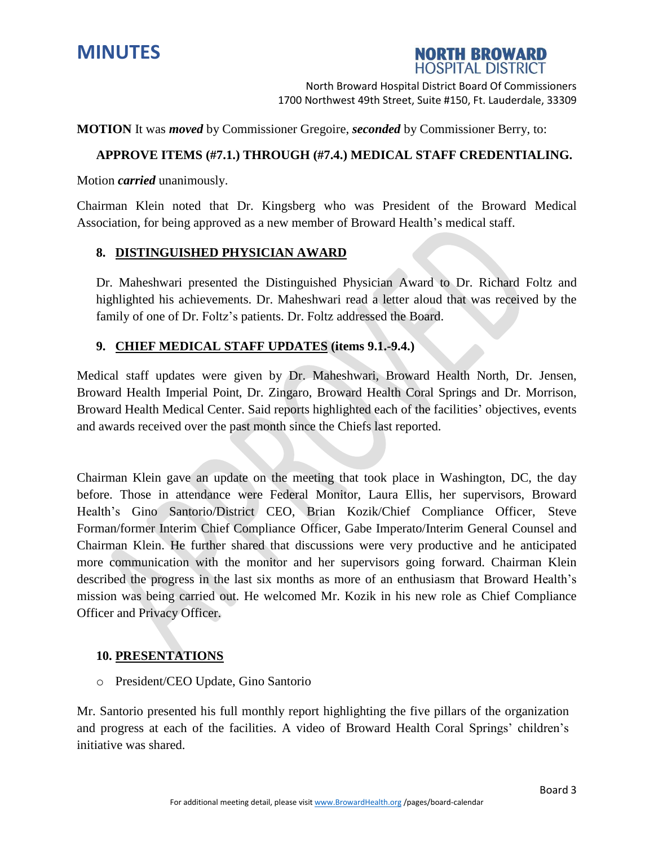



**MOTION** It was *moved* by Commissioner Gregoire, *seconded* by Commissioner Berry, to:

#### **APPROVE ITEMS (#7.1.) THROUGH (#7.4.) MEDICAL STAFF CREDENTIALING.**

Motion *carried* unanimously.

Chairman Klein noted that Dr. Kingsberg who was President of the Broward Medical Association, for being approved as a new member of Broward Health's medical staff.

#### **8. DISTINGUISHED PHYSICIAN AWARD**

Dr. Maheshwari presented the Distinguished Physician Award to Dr. Richard Foltz and highlighted his achievements. Dr. Maheshwari read a letter aloud that was received by the family of one of Dr. Foltz's patients. Dr. Foltz addressed the Board.

#### **9. CHIEF MEDICAL STAFF UPDATES (items 9.1.-9.4.)**

Medical staff updates were given by Dr. Maheshwari, Broward Health North, Dr. Jensen, Broward Health Imperial Point, Dr. Zingaro, Broward Health Coral Springs and Dr. Morrison, Broward Health Medical Center. Said reports highlighted each of the facilities' objectives, events and awards received over the past month since the Chiefs last reported.

Chairman Klein gave an update on the meeting that took place in Washington, DC, the day before. Those in attendance were Federal Monitor, Laura Ellis, her supervisors, Broward Health's Gino Santorio/District CEO, Brian Kozik/Chief Compliance Officer, Steve Forman/former Interim Chief Compliance Officer, Gabe Imperato/Interim General Counsel and Chairman Klein. He further shared that discussions were very productive and he anticipated more communication with the monitor and her supervisors going forward. Chairman Klein described the progress in the last six months as more of an enthusiasm that Broward Health's mission was being carried out. He welcomed Mr. Kozik in his new role as Chief Compliance Officer and Privacy Officer.

#### **10. PRESENTATIONS**

o President/CEO Update, Gino Santorio

Mr. Santorio presented his full monthly report highlighting the five pillars of the organization and progress at each of the facilities. A video of Broward Health Coral Springs' children's initiative was shared.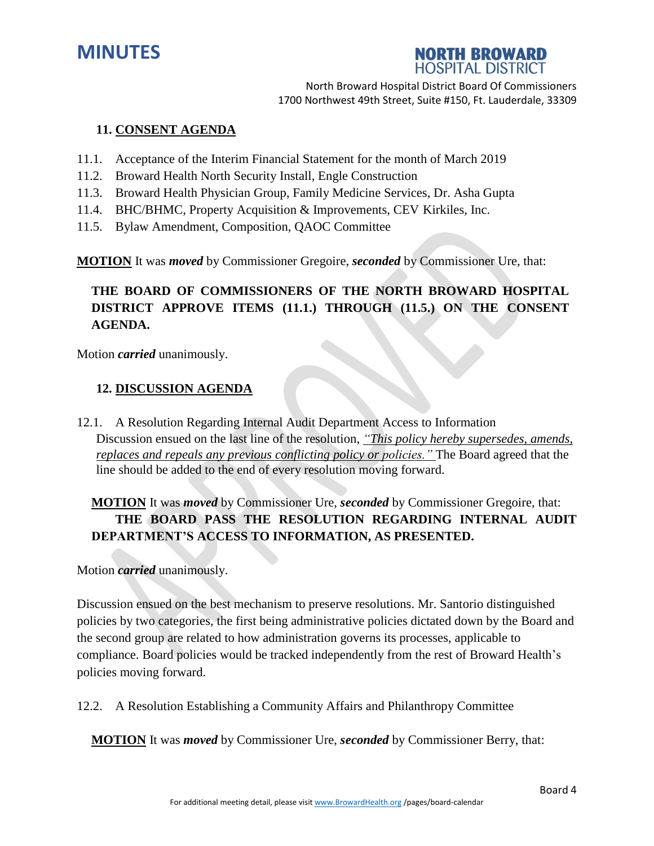



#### **11. CONSENT AGENDA**

- 11.1. Acceptance of the Interim Financial Statement for the month of March 2019
- 11.2. Broward Health North Security Install, Engle Construction
- 11.3. Broward Health Physician Group, Family Medicine Services, Dr. Asha Gupta
- 11.4. BHC/BHMC, Property Acquisition & Improvements, CEV Kirkiles, Inc.
- 11.5. Bylaw Amendment, Composition, QAOC Committee

**MOTION** It was *moved* by Commissioner Gregoire, *seconded* by Commissioner Ure, that:

# **THE BOARD OF COMMISSIONERS OF THE NORTH BROWARD HOSPITAL DISTRICT APPROVE ITEMS (11.1.) THROUGH (11.5.) ON THE CONSENT AGENDA.**

Motion *carried* unanimously.

#### **12. DISCUSSION AGENDA**

12.1. A Resolution Regarding Internal Audit Department Access to Information Discussion ensued on the last line of the resolution, *"This policy hereby supersedes, amends, replaces and repeals any previous conflicting policy or policies."* The Board agreed that the line should be added to the end of every resolution moving forward.

# **MOTION** It was *moved* by Commissioner Ure, *seconded* by Commissioner Gregoire, that: **THE BOARD PASS THE RESOLUTION REGARDING INTERNAL AUDIT DEPARTMENT'S ACCESS TO INFORMATION, AS PRESENTED.**

Motion *carried* unanimously.

Discussion ensued on the best mechanism to preserve resolutions. Mr. Santorio distinguished policies by two categories, the first being administrative policies dictated down by the Board and the second group are related to how administration governs its processes, applicable to compliance. Board policies would be tracked independently from the rest of Broward Health's policies moving forward.

12.2. A Resolution Establishing a Community Affairs and Philanthropy Committee

**MOTION** It was *moved* by Commissioner Ure, *seconded* by Commissioner Berry, that: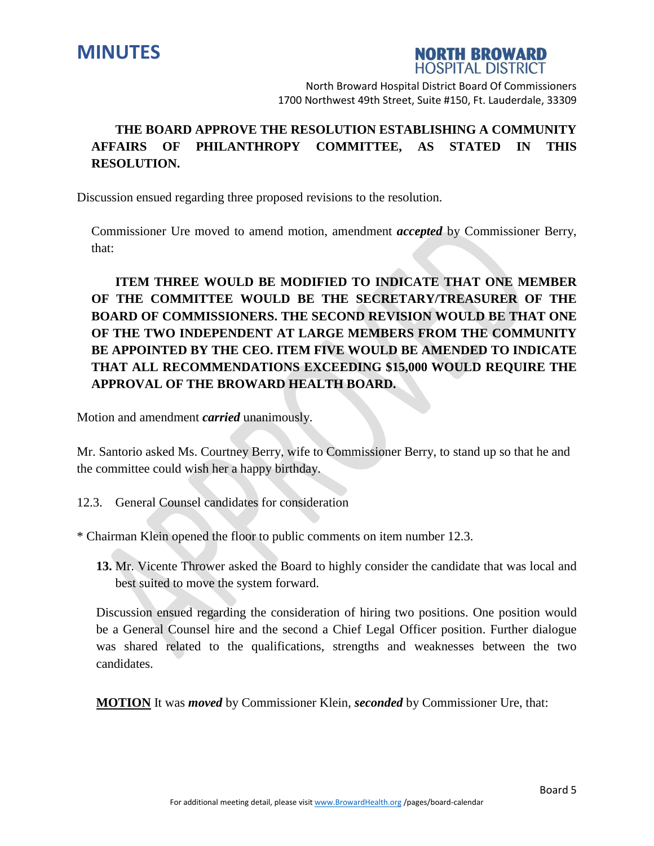



# **THE BOARD APPROVE THE RESOLUTION ESTABLISHING A COMMUNITY AFFAIRS OF PHILANTHROPY COMMITTEE, AS STATED IN THIS RESOLUTION.**

Discussion ensued regarding three proposed revisions to the resolution.

Commissioner Ure moved to amend motion, amendment *accepted* by Commissioner Berry, that:

# **ITEM THREE WOULD BE MODIFIED TO INDICATE THAT ONE MEMBER OF THE COMMITTEE WOULD BE THE SECRETARY/TREASURER OF THE BOARD OF COMMISSIONERS. THE SECOND REVISION WOULD BE THAT ONE OF THE TWO INDEPENDENT AT LARGE MEMBERS FROM THE COMMUNITY BE APPOINTED BY THE CEO. ITEM FIVE WOULD BE AMENDED TO INDICATE THAT ALL RECOMMENDATIONS EXCEEDING \$15,000 WOULD REQUIRE THE APPROVAL OF THE BROWARD HEALTH BOARD.**

Motion and amendment *carried* unanimously.

Mr. Santorio asked Ms. Courtney Berry, wife to Commissioner Berry, to stand up so that he and the committee could wish her a happy birthday.

12.3. General Counsel candidates for consideration

\* Chairman Klein opened the floor to public comments on item number 12.3.

**13.** Mr. Vicente Thrower asked the Board to highly consider the candidate that was local and best suited to move the system forward.

Discussion ensued regarding the consideration of hiring two positions. One position would be a General Counsel hire and the second a Chief Legal Officer position. Further dialogue was shared related to the qualifications, strengths and weaknesses between the two candidates.

**MOTION** It was *moved* by Commissioner Klein, *seconded* by Commissioner Ure, that: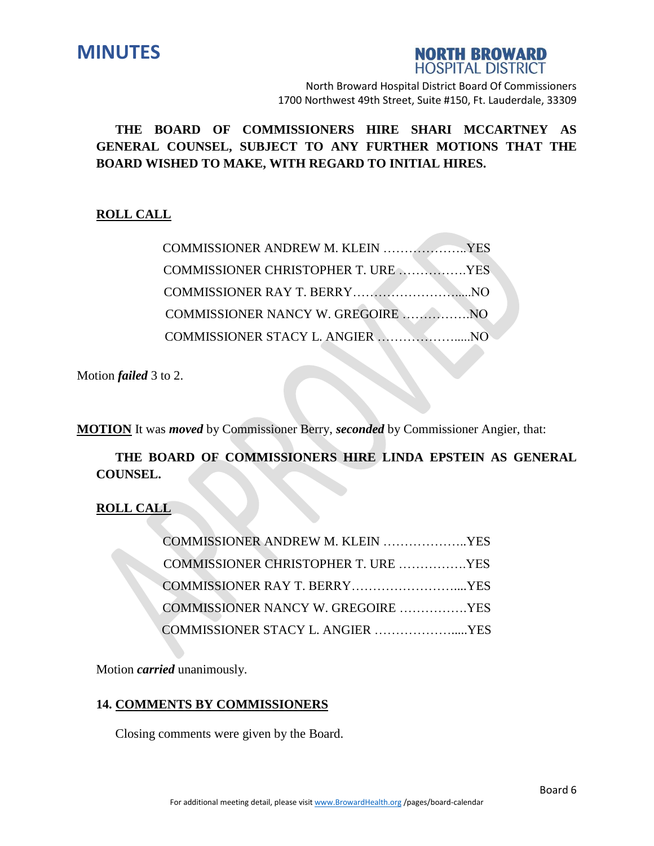



**THE BOARD OF COMMISSIONERS HIRE SHARI MCCARTNEY AS GENERAL COUNSEL, SUBJECT TO ANY FURTHER MOTIONS THAT THE BOARD WISHED TO MAKE, WITH REGARD TO INITIAL HIRES.**

## **ROLL CALL**

| COMMISSIONER ANDREW M. KLEIN YES    |  |
|-------------------------------------|--|
| COMMISSIONER CHRISTOPHER T. URE YES |  |
|                                     |  |
|                                     |  |
|                                     |  |

Motion *failed* 3 to 2.

**MOTION** It was *moved* by Commissioner Berry, *seconded* by Commissioner Angier, that:

**THE BOARD OF COMMISSIONERS HIRE LINDA EPSTEIN AS GENERAL COUNSEL.**

**ROLL CALL**

| COMMISSIONER ANDREW M. KLEIN YES    |  |
|-------------------------------------|--|
| COMMISSIONER CHRISTOPHER T. URE YES |  |
|                                     |  |
| COMMISSIONER NANCY W. GREGOIRE YES  |  |
| COMMISSIONER STACY L. ANGIER YES    |  |

Motion *carried* unanimously.

## **14. COMMENTS BY COMMISSIONERS**

Closing comments were given by the Board.